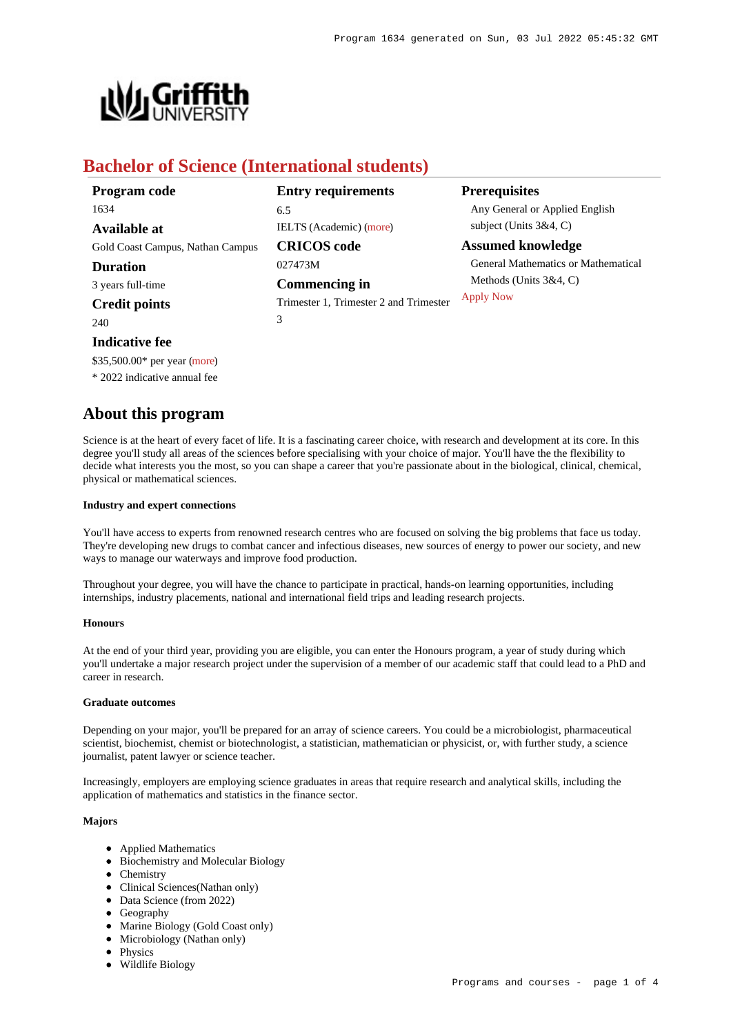

# **Bachelor of Science (International students)**

| Program code                     | <b>Entry requirements</b>              | <b>Prerequisites</b>                |
|----------------------------------|----------------------------------------|-------------------------------------|
| 1634                             | 6.5                                    | Any General or Applied English      |
| <b>Available at</b>              | <b>IELTS</b> (Academic) (more)         | subject (Units $3&4, C$ )           |
| Gold Coast Campus, Nathan Campus | <b>CRICOS</b> code                     | <b>Assumed knowledge</b>            |
| <b>Duration</b>                  | 027473M                                | General Mathematics or Mathematical |
| 3 years full-time                | <b>Commencing in</b>                   | Methods (Units $3&4, C$ )           |
| <b>Credit points</b>             | Trimester 1, Trimester 2 and Trimester | <b>Apply Now</b>                    |
| 240                              | 3                                      |                                     |
|                                  |                                        |                                     |

# **Indicative fee**

\$35,500.00\* per year [\(more](https://www148.griffith.edu.au/programs-courses/Program/1634/Overview/International#fees))

\* 2022 indicative annual fee

## **About this program**

Science is at the heart of every facet of life. It is a fascinating career choice, with research and development at its core. In this degree you'll study all areas of the sciences before specialising with your choice of major. You'll have the the flexibility to decide what interests you the most, so you can shape a career that you're passionate about in the biological, clinical, chemical, physical or mathematical sciences.

## **Industry and expert connections**

You'll have access to experts from renowned research centres who are focused on solving the big problems that face us today. They're developing new drugs to combat cancer and infectious diseases, new sources of energy to power our society, and new ways to manage our waterways and improve food production.

Throughout your degree, you will have the chance to participate in practical, hands-on learning opportunities, including internships, industry placements, national and international field trips and leading research projects.

### **Honours**

At the end of your third year, providing you are eligible, you can enter the Honours program, a year of study during which you'll undertake a major research project under the supervision of a member of our academic staff that could lead to a PhD and career in research.

### **Graduate outcomes**

Depending on your major, you'll be prepared for an array of science careers. You could be a microbiologist, pharmaceutical scientist, biochemist, chemist or biotechnologist, a statistician, mathematician or physicist, or, with further study, a science journalist, patent lawyer or science teacher.

Increasingly, employers are employing science graduates in areas that require research and analytical skills, including the application of mathematics and statistics in the finance sector.

## **Majors**

- Applied Mathematics
- Biochemistry and Molecular Biology
- Chemistry
- Clinical Sciences(Nathan only)
- Data Science (from 2022)
- Geography
- Marine Biology (Gold Coast only)
- Microbiology (Nathan only)
- Physics
- Wildlife Biology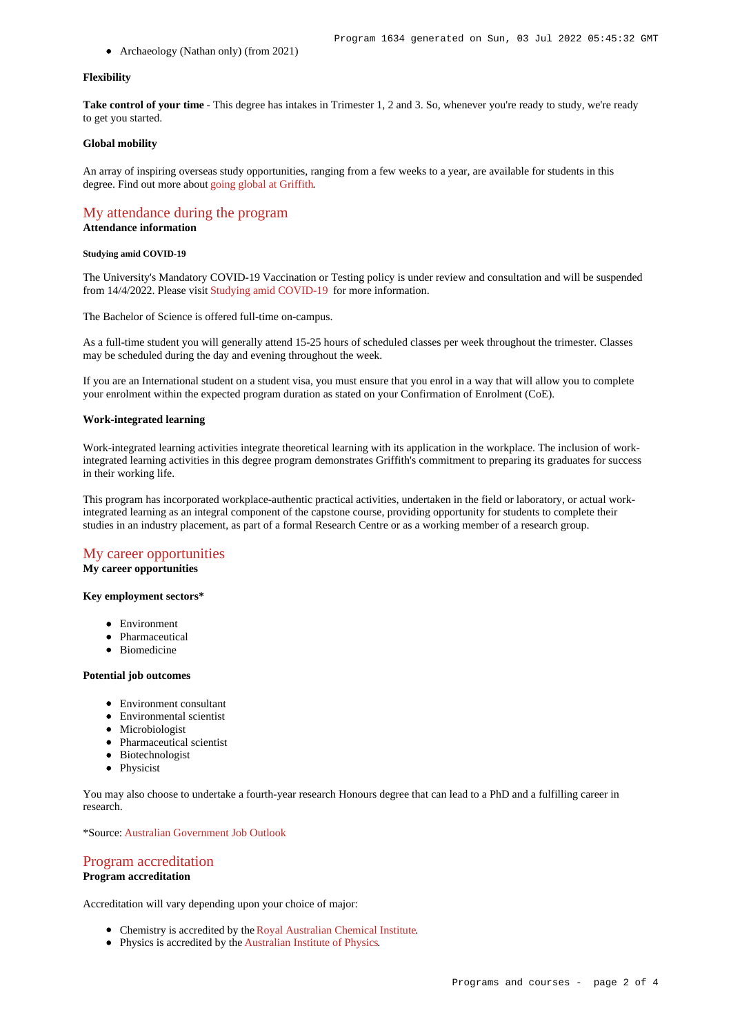• Archaeology (Nathan only) (from 2021)

### **Flexibility**

Take control of your time - This degree has intakes in Trimester 1, 2 and 3. So, whenever you're ready to study, we're ready to get you started.

### **Global mobility**

An array of inspiring overseas study opportunities, ranging from a few weeks to a year, are available for students in this degree. Find out more about [going global at Griffith](https://www.griffith.edu.au/go-global).

## [My attendance during the program](https://www148.griffith.edu.au/programs-courses/Program/1634/Overview/International#attendance)

**Attendance information**

### **Studying amid COVID-19**

The University's Mandatory COVID-19 Vaccination or Testing policy is under review and consultation and will be suspended from 14/4/2022. Please visit [Studying amid COVID-19](https://www.griffith.edu.au/coronavirus/studying-amid-covid-19) for more information.

The Bachelor of Science is offered full-time on-campus.

As a full-time student you will generally attend 15-25 hours of scheduled classes per week throughout the trimester. Classes may be scheduled during the day and evening throughout the week.

If you are an International student on a student visa, you must ensure that you enrol in a way that will allow you to complete your enrolment within the expected program duration as stated on your Confirmation of Enrolment (CoE).

### **Work-integrated learning**

Work-integrated learning activities integrate theoretical learning with its application in the workplace. The inclusion of workintegrated learning activities in this degree program demonstrates Griffith's commitment to preparing its graduates for success in their working life.

This program has incorporated workplace-authentic practical activities, undertaken in the field or laboratory, or actual workintegrated learning as an integral component of the capstone course, providing opportunity for students to complete their studies in an industry placement, as part of a formal Research Centre or as a working member of a research group.

### [My career opportunities](https://www148.griffith.edu.au/programs-courses/Program/1634/Overview/International#opportunities)

**My career opportunities**

## **Key employment sectors\***

- Environment
- Pharmaceutical
- Biomedicine

#### **Potential job outcomes**

- Environment consultant
- Environmental scientist
- Microbiologist
- Pharmaceutical scientist
- Biotechnologist
- Physicist

You may also choose to undertake a fourth-year research Honours degree that can lead to a PhD and a fulfilling career in research.

\*Source: [Australian Government Job Outlook](https://joboutlook.gov.au/)

## [Program accreditation](https://www148.griffith.edu.au/programs-courses/Program/1634/Overview/International#accreditation)

## **Program accreditation**

Accreditation will vary depending upon your choice of major:

- Chemistry is accredited by the [Royal Australian Chemical Institute](https://www.raci.org.au/).
- Physics is accredited by the [Australian Institute of Physics](http://www.aip.org.au/info/).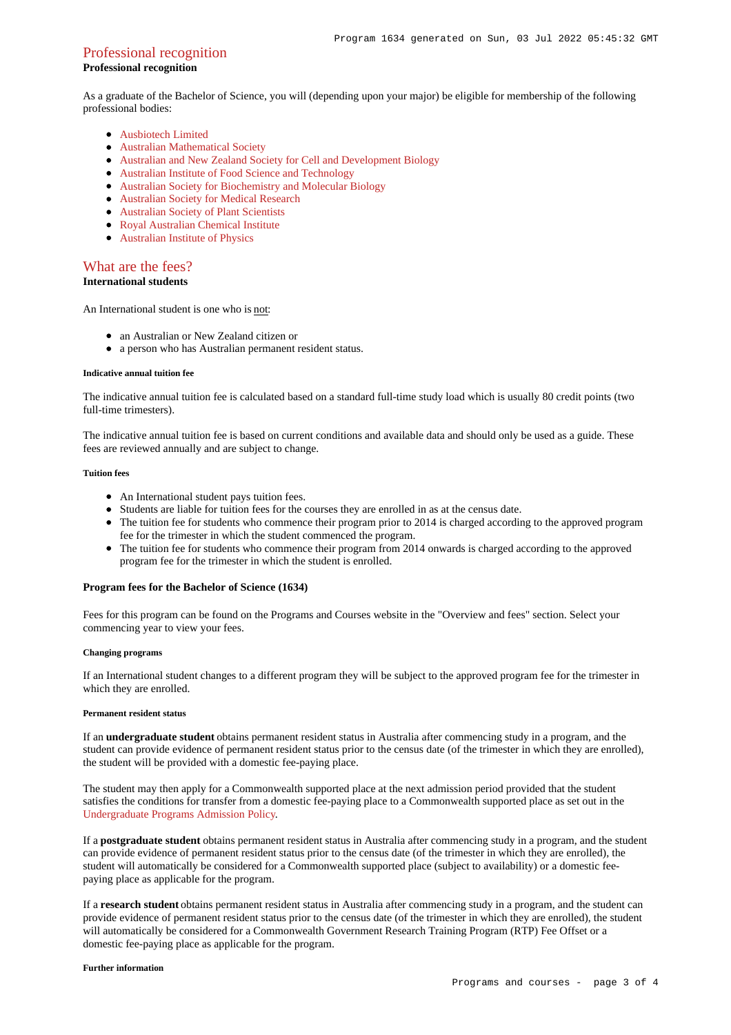## Professional recognition

## **Professional recognition**

As a graduate of the Bachelor of Science, you will (depending upon your major) be eligible for membership of the following professional bodies:

- **[Ausbiotech Limited](http://www.ausbiotech.org/)**
- [Australian Mathematical Society](http://www.austms.org.au/)
- [Australian and New Zealand Society for Cell and Development Biology](http://www.anzscdb.org/)
- [Australian Institute of Food Science and Technology](http://www.aifst.asn.au/)
- [Australian Society for Biochemistry and Molecular Biology](https://www.asbmb.org.au/)
- [Australian Society for Medical Research](http://www.asmr.org.au/)
- [Australian Society of Plant Scientists](http://www.asps.org.au/)
- [Royal Australian Chemical Institute](https://www.raci.org.au/)
- [Australian Institute of Physics](http://www.aip.org.au/info/)

## [What are the fees?](https://www148.griffith.edu.au/programs-courses/Program/1634/Overview/International#fees)

**International students**

An International student is one who is not:

- an Australian or New Zealand citizen or
- a person who has Australian permanent resident status.

#### **Indicative annual tuition fee**

The indicative annual tuition fee is calculated based on a standard full-time study load which is usually 80 credit points (two full-time trimesters).

The indicative annual tuition fee is based on current conditions and available data and should only be used as a guide. These fees are reviewed annually and are subject to change.

### **Tuition fees**

- An International student pays tuition fees.
- Students are liable for tuition fees for the courses they are enrolled in as at the census date.
- The tuition fee for students who commence their program prior to 2014 is charged according to the approved program fee for the trimester in which the student commenced the program.
- The tuition fee for students who commence their program from 2014 onwards is charged according to the approved program fee for the trimester in which the student is enrolled.

### **Program fees for the Bachelor of Science (1634)**

Fees for this program can be found on the Programs and Courses website in the "Overview and fees" section. Select your commencing year to view your fees.

### **Changing programs**

If an International student changes to a different program they will be subject to the approved program fee for the trimester in which they are enrolled.

### **Permanent resident status**

If an **undergraduate student** obtains permanent resident status in Australia after commencing study in a program, and the student can provide evidence of permanent resident status prior to the census date (of the trimester in which they are enrolled), the student will be provided with a domestic fee-paying place.

The student may then apply for a Commonwealth supported place at the next admission period provided that the student satisfies the conditions for transfer from a domestic fee-paying place to a Commonwealth supported place as set out in the [Undergraduate Programs Admission Policy](http://policies.griffith.edu.au/pdf/Undergraduate Programs Admission Policy.pdf).

If a **postgraduate student** obtains permanent resident status in Australia after commencing study in a program, and the student can provide evidence of permanent resident status prior to the census date (of the trimester in which they are enrolled), the student will automatically be considered for a Commonwealth supported place (subject to availability) or a domestic feepaying place as applicable for the program.

If a **research student** obtains permanent resident status in Australia after commencing study in a program, and the student can provide evidence of permanent resident status prior to the census date (of the trimester in which they are enrolled), the student will automatically be considered for a Commonwealth Government Research Training Program (RTP) Fee Offset or a domestic fee-paying place as applicable for the program.

#### **Further information**